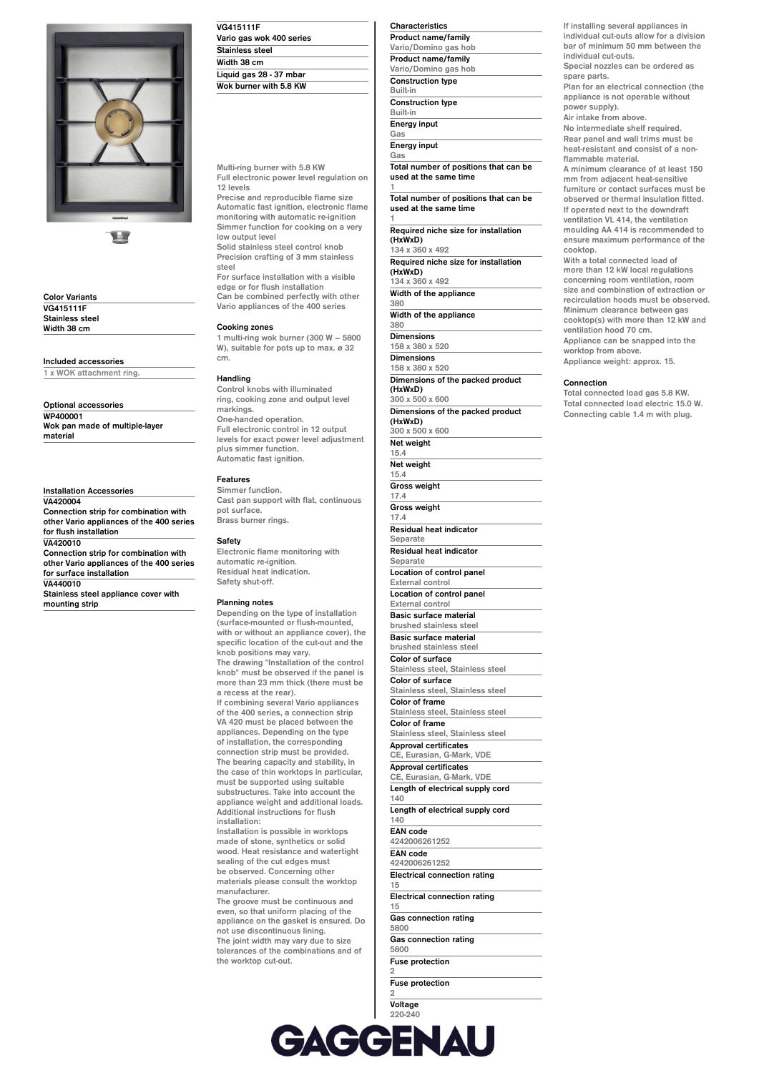

11

**Color Variants VG415111F Stainless steel Width 38 cm**

**Included accessories**

**1 x WOK attachment ring.**

**Optional accessories WP400001 Wok pan made of multiple-layer material**

**Installation Accessories VA420004 Connection strip for combination with other Vario appliances of the 400 series for flush installation VA420010 Connection strip for combination with other Vario appliances of the 400 series for surface installation VA440010**

**Stainless steel appliance cover with mounting strip**

| <b>VG415111F</b>         |  |
|--------------------------|--|
| Vario gas wok 400 series |  |
| <b>Stainless steel</b>   |  |
| Width 38 cm              |  |
| Liquid gas 28 - 37 mbar  |  |
| Wok burner with 5.8 KW   |  |

**Multi-ring burner with 5.8 KW Full electronic power level regulation on 12 levels**

**Precise and reproducible flame size Automatic fast ignition, electronic flame monitoring with automatic re-ignition Simmer function for cooking on a very low output level Solid stainless steel control knob**

**Precision crafting of 3 mm stainless steel For surface installation with a visible**

**edge or for flush installation Can be combined perfectly with other Vario appliances of the 400 series**

# **Cooking zones**

**1 multi-ring wok burner (300 W – 5800 W), suitable for pots up to max. ø 32 cm.**

# **Handling**

**Control knobs with illuminated ring, cooking zone and output level markings. One-handed operation. Full electronic control in 12 output levels for exact power level adjustment plus simmer function. Automatic fast ignition.**

# **Features**

**Simmer function. Cast pan support with flat, continuous pot surface. Brass burner rings.**

# **Safety**

**Electronic flame monitoring with automatic re-ignition. Residual heat indication. Safety shut-off.**

### **Planning notes**

**Depending on the type of installation (surface-mounted or flush-mounted, with or without an appliance cover), the specific location of the cut-out and the knob positions may vary. The drawing "Installation of the control knob" must be observed if the panel is more than 23 mm thick (there must be a recess at the rear). If combining several Vario appliances of the 400 series, a connection strip VA 420 must be placed between the appliances. Depending on the type of installation, the corresponding connection strip must be provided. The bearing capacity and stability, in the case of thin worktops in particular, must be supported using suitable substructures. Take into account the appliance weight and additional loads. Additional instructions for flush installation: Installation is possible in worktops**

**made of stone, synthetics or solid wood. Heat resistance and watertight sealing of the cut edges must be observed. Concerning other materials please consult the worktop manufacturer.**

**The groove must be continuous and even, so that uniform placing of the appliance on the gasket is ensured. Do not use discontinuous lining. The joint width may vary due to size tolerances of the combinations and of the worktop cut-out.**

| Characteristics            |
|----------------------------|
| <b>Product name/family</b> |
| Vario/Domino gas hob       |
| <b>Product name/family</b> |
| Vario/Domino gas hob       |
| <b>Construction type</b>   |
| <b>Built-in</b>            |
| <b>Construction type</b>   |
| Built-in                   |
| <b>Energy input</b>        |
| Gas                        |
|                            |

**Energy input Gas**

**Total number of positions that can be used at the same time 1**

**Total number of positions that can be used at the same time**

**1 Required niche size for installation (HxWxD) 134 x 360 x 492**

**Required niche size for installation (HxWxD)**

**134 x 360 x 492 Width of the appliance**

**380 Width of the appliance**

**380 Dimensions**

**Net weight**

**158 x 380 x 520 Dimensions 158 x 380 x 520 Dimensions of the packed product (HxWxD) 300 x 500 x 600**

**Dimensions of the packed product (HxWxD) 300 x 500 x 600**

**15.4 Net weight 15.4 Gross weight 17.4 Gross weight 17.4 Residual heat indicator Separate Residual heat indicator Separate Location of control panel External control Location of control panel External control Basic surface material brushed stainless steel Basic surface material brushed stainless steel Color of surface Stainless steel, Stainless steel Color of surface Stainless steel, Stainless steel Color of frame Stainless steel, Stainless steel Color of frame Stainless steel, Stainless steel Approval certificates CE, Eurasian, G-Mark, VDE Approval certificates CE, Eurasian, G-Mark, VDE Length of electrical supply cord 140 Length of electrical supply cord 140 EAN code 4242006261252 EAN code 4242006261252 Electrical connection rating 15 Electrical connection rating 15 Gas connection rating 5800 Gas connection rating 5800**

**Fuse protection**

**Fuse protection**

**2**

**2 Voltage 220-240 Voltage 220-240 Frequency 50; 60**

**If installing several appliances in individual cut-outs allow for a division bar of minimum 50 mm between the individual cut-outs. Special nozzles can be ordered as**

**spare parts. Plan for an electrical connection (the**

**appliance is not operable without power supply). Air intake from above.**

**No intermediate shelf required. Rear panel and wall trims must be heat-resistant and consist of a nonflammable material.**

**A minimum clearance of at least 150 mm from adjacent heat-sensitive furniture or contact surfaces must be observed or thermal insulation fitted. If operated next to the downdraft ventilation VL 414, the ventilation moulding AA 414 is recommended to ensure maximum performance of the cooktop.**

**With a total connected load of more than 12 kW local regulations concerning room ventilation, room size and combination of extraction or recirculation hoods must be observed. Minimum clearance between gas cooktop(s) with more than 12 kW and ventilation hood 70 cm. Appliance can be snapped into the worktop from above.**

**Appliance weight: approx. 15.**

## **Connection**

**Total connected load gas 5.8 KW. Total connected load electric 15.0 W. Connecting cable 1.4 m with plug.**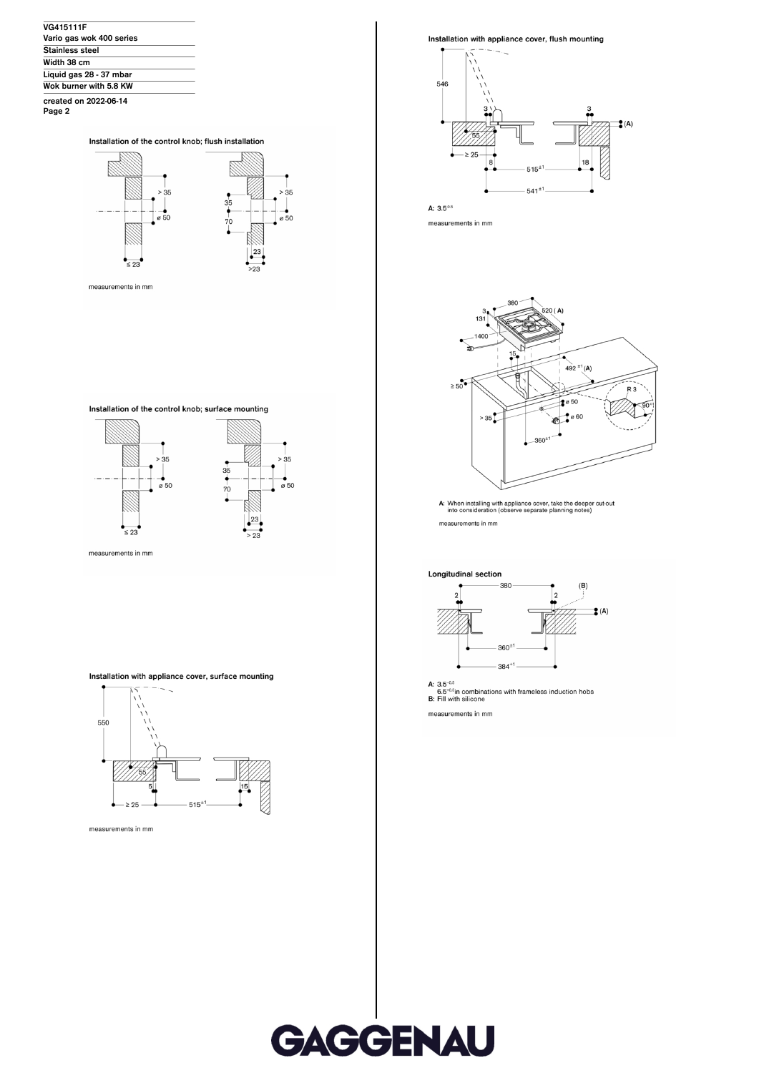

Installation of the control knob; flush installation



Installation of the control knob; surface mounting



measurements in mm

# Installation with appliance cover, surface mounting





Installation with appliance cover, flush mounting



A:  $3.5^{0.5}$ 

measurements in mm



A: When installing with appliance cover, take the deeper cut-out into consideration (observe separate planning notes) measurements in mm

Longitudinal section



A:  $3.5^{\text{-}0.5}$ <br>6.5<sup>-0.5</sup>in combinations with frameless induction hobs<br>B: Fill with silicone

measurements in mm